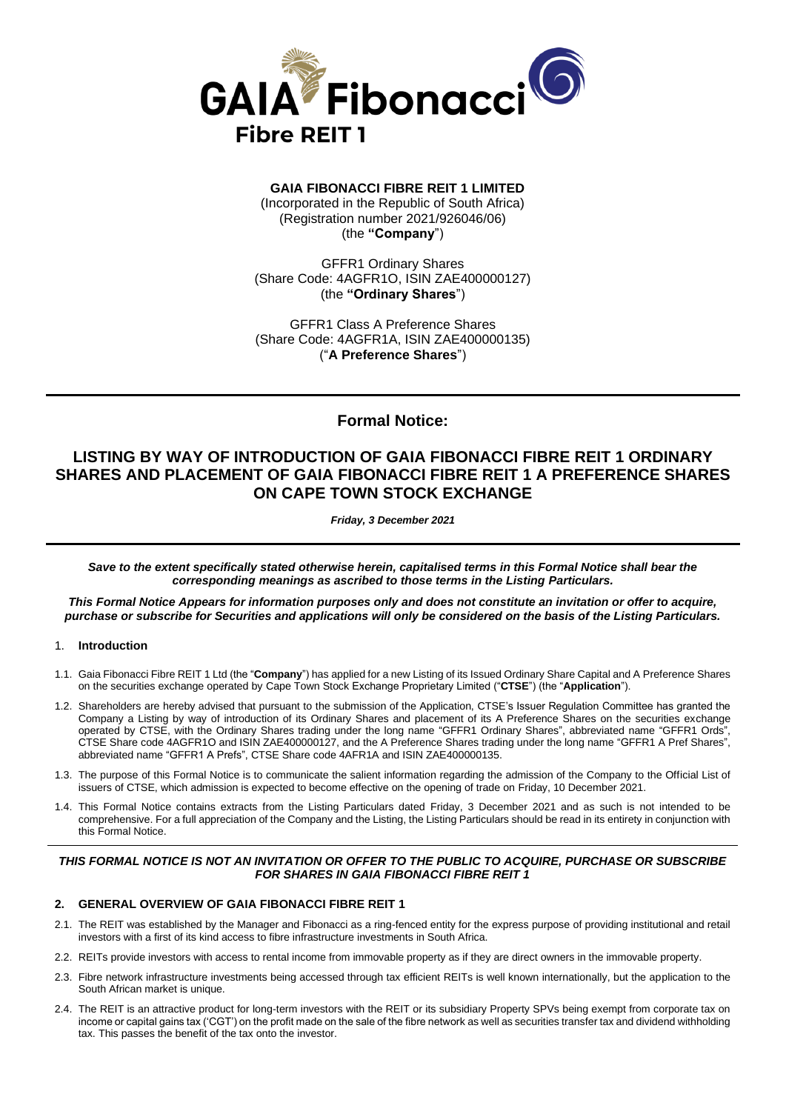

**GAIA FIBONACCI FIBRE REIT 1 LIMITED** (Incorporated in the Republic of South Africa) (Registration number 2021/926046/06) (the **"Company**")

GFFR1 Ordinary Shares (Share Code: 4AGFR1O, ISIN ZAE400000127) (the **"Ordinary Shares**")

GFFR1 Class A Preference Shares (Share Code: 4AGFR1A, ISIN ZAE400000135) ("**A Preference Shares**")

## **Formal Notice:**

# **LISTING BY WAY OF INTRODUCTION OF GAIA FIBONACCI FIBRE REIT 1 ORDINARY SHARES AND PLACEMENT OF GAIA FIBONACCI FIBRE REIT 1 A PREFERENCE SHARES ON CAPE TOWN STOCK EXCHANGE**

*Friday, 3 December 2021*

*Save to the extent specifically stated otherwise herein, capitalised terms in this Formal Notice shall bear the corresponding meanings as ascribed to those terms in the Listing Particulars.* 

*This Formal Notice Appears for information purposes only and does not constitute an invitation or offer to acquire, purchase or subscribe for Securities and applications will only be considered on the basis of the Listing Particulars.*

#### 1. **Introduction**

- 1.1. Gaia Fibonacci Fibre REIT 1 Ltd (the "**Company**") has applied for a new Listing of its Issued Ordinary Share Capital and A Preference Shares on the securities exchange operated by Cape Town Stock Exchange Proprietary Limited ("**CTSE**") (the "**Application**").
- 1.2. Shareholders are hereby advised that pursuant to the submission of the Application, CTSE's Issuer Regulation Committee has granted the Company a Listing by way of introduction of its Ordinary Shares and placement of its A Preference Shares on the securities exchange operated by CTSE, with the Ordinary Shares trading under the long name "GFFR1 Ordinary Shares", abbreviated name "GFFR1 Ords", CTSE Share code 4AGFR1O and ISIN ZAE400000127, and the A Preference Shares trading under the long name "GFFR1 A Pref Shares", abbreviated name "GFFR1 A Prefs", CTSE Share code 4AFR1A and ISIN ZAE400000135.
- 1.3. The purpose of this Formal Notice is to communicate the salient information regarding the admission of the Company to the Official List of issuers of CTSE, which admission is expected to become effective on the opening of trade on Friday, 10 December 2021.
- 1.4. This Formal Notice contains extracts from the Listing Particulars dated Friday, 3 December 2021 and as such is not intended to be comprehensive. For a full appreciation of the Company and the Listing, the Listing Particulars should be read in its entirety in conjunction with this Formal Notice.

### *THIS FORMAL NOTICE IS NOT AN INVITATION OR OFFER TO THE PUBLIC TO ACQUIRE, PURCHASE OR SUBSCRIBE FOR SHARES IN GAIA FIBONACCI FIBRE REIT 1*

#### **2. GENERAL OVERVIEW OF GAIA FIBONACCI FIBRE REIT 1**

- 2.1. The REIT was established by the Manager and Fibonacci as a ring-fenced entity for the express purpose of providing institutional and retail investors with a first of its kind access to fibre infrastructure investments in South Africa.
- 2.2. REITs provide investors with access to rental income from immovable property as if they are direct owners in the immovable property.
- 2.3. Fibre network infrastructure investments being accessed through tax efficient REITs is well known internationally, but the application to the South African market is unique.
- 2.4. The REIT is an attractive product for long-term investors with the REIT or its subsidiary Property SPVs being exempt from corporate tax on income or capital gains tax ('CGT') on the profit made on the sale of the fibre network as well as securities transfer tax and dividend withholding tax. This passes the benefit of the tax onto the investor.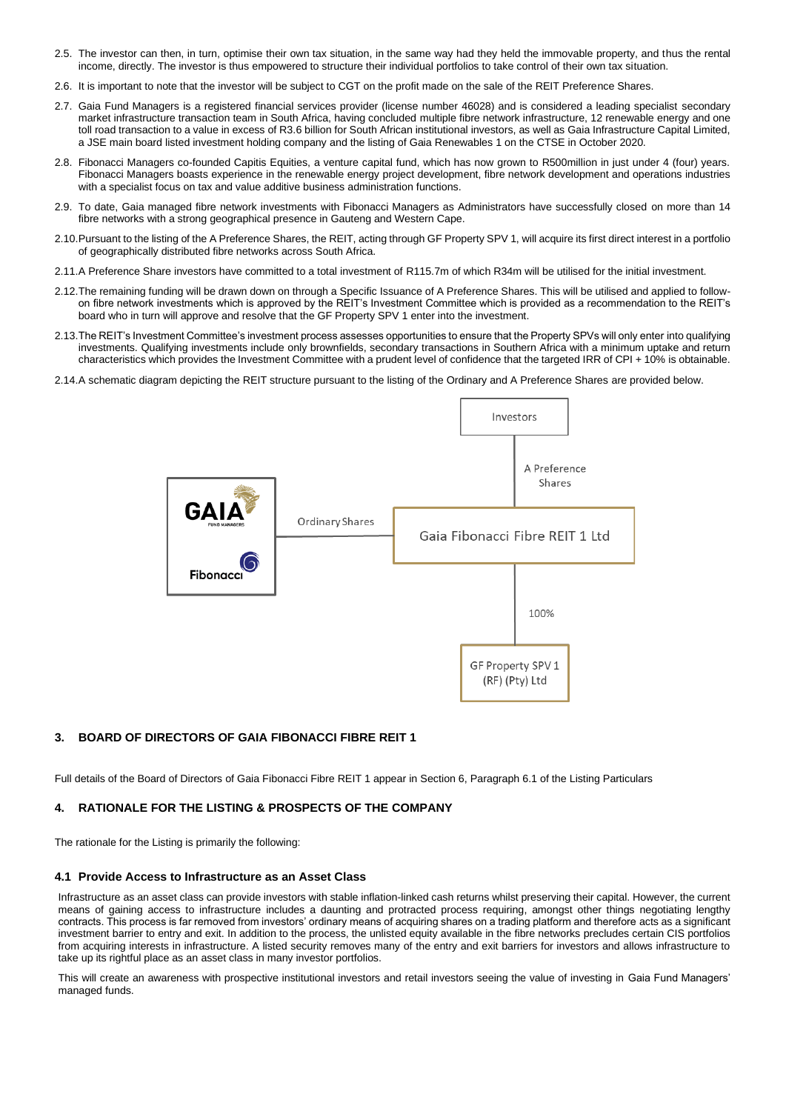- 2.5. The investor can then, in turn, optimise their own tax situation, in the same way had they held the immovable property, and thus the rental income, directly. The investor is thus empowered to structure their individual portfolios to take control of their own tax situation.
- 2.6. It is important to note that the investor will be subject to CGT on the profit made on the sale of the REIT Preference Shares.
- 2.7. Gaia Fund Managers is a registered financial services provider (license number 46028) and is considered a leading specialist secondary market infrastructure transaction team in South Africa, having concluded multiple fibre network infrastructure, 12 renewable energy and one toll road transaction to a value in excess of R3.6 billion for South African institutional investors, as well as Gaia Infrastructure Capital Limited, a JSE main board listed investment holding company and the listing of Gaia Renewables 1 on the CTSE in October 2020.
- 2.8. Fibonacci Managers co-founded Capitis Equities, a venture capital fund, which has now grown to R500million in just under 4 (four) years. Fibonacci Managers boasts experience in the renewable energy project development, fibre network development and operations industries with a specialist focus on tax and value additive business administration functions.
- 2.9. To date, Gaia managed fibre network investments with Fibonacci Managers as Administrators have successfully closed on more than 14 fibre networks with a strong geographical presence in Gauteng and Western Cape.
- 2.10.Pursuant to the listing of the A Preference Shares, the REIT, acting through GF Property SPV 1, will acquire its first direct interest in a portfolio of geographically distributed fibre networks across South Africa.
- 2.11.A Preference Share investors have committed to a total investment of R115.7m of which R34m will be utilised for the initial investment.
- 2.12.The remaining funding will be drawn down on through a Specific Issuance of A Preference Shares. This will be utilised and applied to followon fibre network investments which is approved by the REIT's Investment Committee which is provided as a recommendation to the REIT's board who in turn will approve and resolve that the GF Property SPV 1 enter into the investment.
- 2.13.The REIT's Investment Committee's investment process assesses opportunities to ensure that the Property SPVs will only enter into qualifying investments. Qualifying investments include only brownfields, secondary transactions in Southern Africa with a minimum uptake and return characteristics which provides the Investment Committee with a prudent level of confidence that the targeted IRR of CPI + 10% is obtainable.
- 2.14.A schematic diagram depicting the REIT structure pursuant to the listing of the Ordinary and A Preference Shares are provided below.



#### **3. BOARD OF DIRECTORS OF GAIA FIBONACCI FIBRE REIT 1**

Full details of the Board of Directors of Gaia Fibonacci Fibre REIT 1 appear in Section 6, Paragraph 6.1 of the Listing Particulars

#### **4. RATIONALE FOR THE LISTING & PROSPECTS OF THE COMPANY**

The rationale for the Listing is primarily the following:

#### **4.1 Provide Access to Infrastructure as an Asset Class**

Infrastructure as an asset class can provide investors with stable inflation-linked cash returns whilst preserving their capital. However, the current means of gaining access to infrastructure includes a daunting and protracted process requiring, amongst other things negotiating lengthy contracts. This process is far removed from investors' ordinary means of acquiring shares on a trading platform and therefore acts as a significant investment barrier to entry and exit. In addition to the process, the unlisted equity available in the fibre networks precludes certain CIS portfolios from acquiring interests in infrastructure. A listed security removes many of the entry and exit barriers for investors and allows infrastructure to take up its rightful place as an asset class in many investor portfolios.

This will create an awareness with prospective institutional investors and retail investors seeing the value of investing in Gaia Fund Managers' managed funds.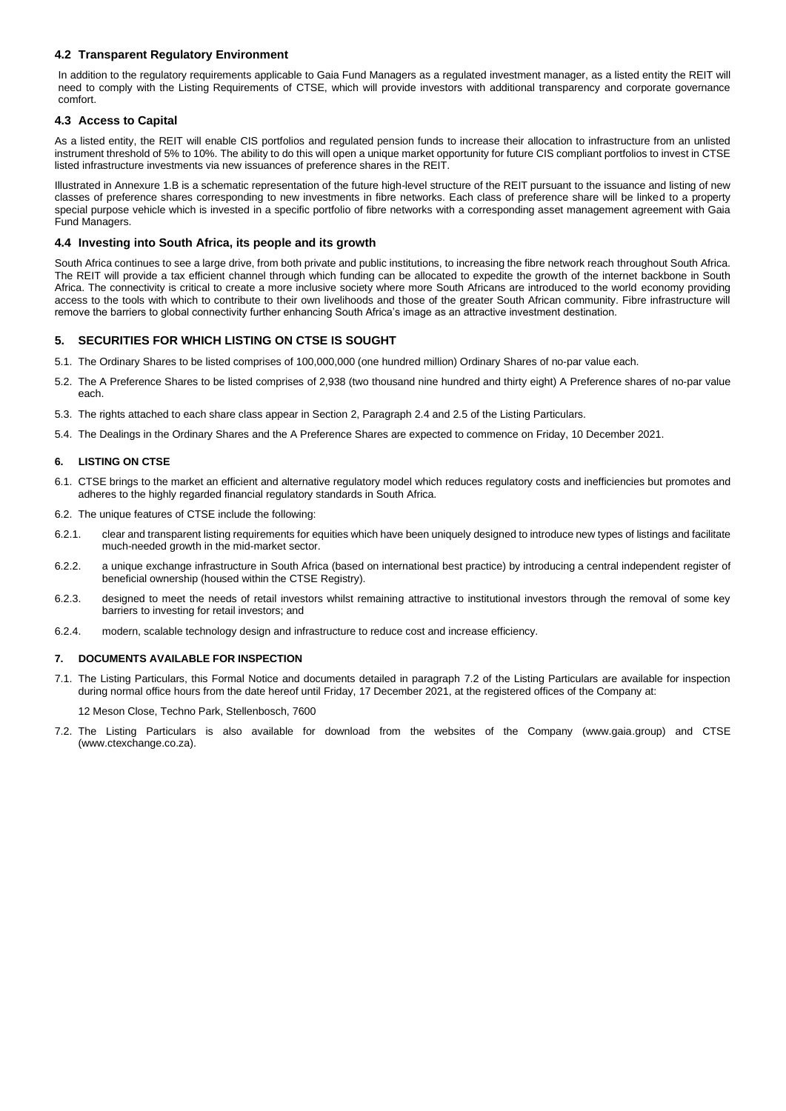### **4.2 Transparent Regulatory Environment**

In addition to the regulatory requirements applicable to Gaia Fund Managers as a regulated investment manager, as a listed entity the REIT will need to comply with the Listing Requirements of CTSE, which will provide investors with additional transparency and corporate governance comfort.

#### **4.3 Access to Capital**

As a listed entity, the REIT will enable CIS portfolios and regulated pension funds to increase their allocation to infrastructure from an unlisted instrument threshold of 5% to 10%. The ability to do this will open a unique market opportunity for future CIS compliant portfolios to invest in CTSE listed infrastructure investments via new issuances of preference shares in the REIT.

Illustrated in Annexure 1.B is a schematic representation of the future high-level structure of the REIT pursuant to the issuance and listing of new classes of preference shares corresponding to new investments in fibre networks. Each class of preference share will be linked to a property special purpose vehicle which is invested in a specific portfolio of fibre networks with a corresponding asset management agreement with Gaia Fund Managers.

#### **4.4 Investing into South Africa, its people and its growth**

South Africa continues to see a large drive, from both private and public institutions, to increasing the fibre network reach throughout South Africa. The REIT will provide a tax efficient channel through which funding can be allocated to expedite the growth of the internet backbone in South Africa. The connectivity is critical to create a more inclusive society where more South Africans are introduced to the world economy providing access to the tools with which to contribute to their own livelihoods and those of the greater South African community. Fibre infrastructure will remove the barriers to global connectivity further enhancing South Africa's image as an attractive investment destination.

## **5. SECURITIES FOR WHICH LISTING ON CTSE IS SOUGHT**

- 5.1. The Ordinary Shares to be listed comprises of 100,000,000 (one hundred million) Ordinary Shares of no-par value each.
- 5.2. The A Preference Shares to be listed comprises of 2,938 (two thousand nine hundred and thirty eight) A Preference shares of no-par value each.
- 5.3. The rights attached to each share class appear in Section 2, Paragraph 2.4 and 2.5 of the Listing Particulars.
- 5.4. The Dealings in the Ordinary Shares and the A Preference Shares are expected to commence on Friday, 10 December 2021.

#### **6. LISTING ON CTSE**

- 6.1. CTSE brings to the market an efficient and alternative regulatory model which reduces regulatory costs and inefficiencies but promotes and adheres to the highly regarded financial regulatory standards in South Africa.
- 6.2. The unique features of CTSE include the following:
- 6.2.1. clear and transparent listing requirements for equities which have been uniquely designed to introduce new types of listings and facilitate much-needed growth in the mid-market sector.
- 6.2.2. a unique exchange infrastructure in South Africa (based on international best practice) by introducing a central independent register of beneficial ownership (housed within the CTSE Registry).
- 6.2.3. designed to meet the needs of retail investors whilst remaining attractive to institutional investors through the removal of some key barriers to investing for retail investors; and
- 6.2.4. modern, scalable technology design and infrastructure to reduce cost and increase efficiency.

#### **7. DOCUMENTS AVAILABLE FOR INSPECTION**

7.1. The Listing Particulars, this Formal Notice and documents detailed in paragraph 7.2 of the Listing Particulars are available for inspection during normal office hours from the date hereof until Friday, 17 December 2021, at the registered offices of the Company at:

12 Meson Close, Techno Park, Stellenbosch, 7600

7.2. The Listing Particulars is also available for download from the websites of the Company (www.gaia.group) and CTSE (www.ctexchange.co.za).